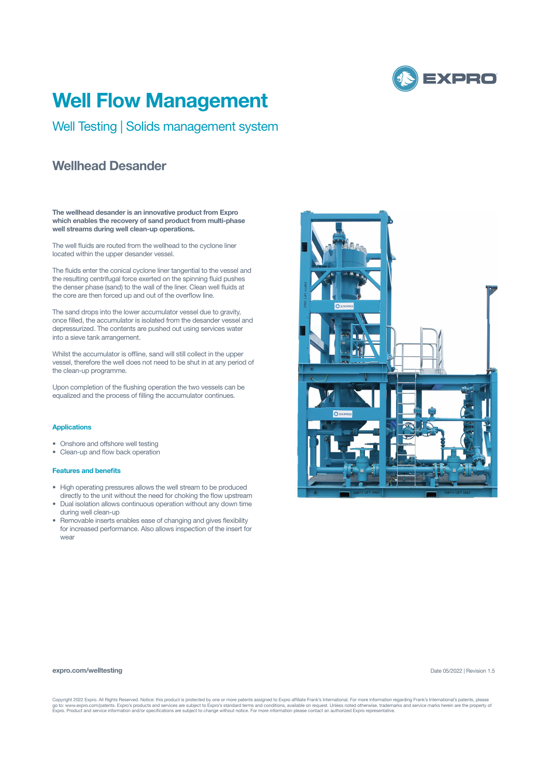

## **Well Flow Management**

Well Testing | Solids management system

## **Wellhead Desander**

**The wellhead desander is an innovative product from Expro which enables the recovery of sand product from multi-phase well streams during well clean-up operations.** 

The well fluids are routed from the wellhead to the cyclone liner located within the upper desander vessel.

The fluids enter the conical cyclone liner tangential to the vessel and the resulting centrifugal force exerted on the spinning fluid pushes the denser phase (sand) to the wall of the liner. Clean well fluids at the core are then forced up and out of the overflow line.

The sand drops into the lower accumulator vessel due to gravity, once filled, the accumulator is isolated from the desander vessel and depressurized. The contents are pushed out using services water into a sieve tank arrangement.

Whilst the accumulator is offline, sand will still collect in the upper vessel, therefore the well does not need to be shut in at any period of the clean-up programme.

Upon completion of the flushing operation the two vessels can be equalized and the process of filling the accumulator continues.

#### **Applications**

- Onshore and offshore well testing
- Clean-up and flow back operation

#### **Features and benefits**

- High operating pressures allows the well stream to be produced directly to the unit without the need for choking the flow upstream
- Dual isolation allows continuous operation without any down time during well clean-up
- Removable inserts enables ease of changing and gives flexibility for increased performance. Also allows inspection of the insert for wear



#### **expro.com/welltesting**

Date 05/2022 | Revision 1.5

Copyright 2022 Expro. All Rights Reserved. Notice: this product is protected by one or more patents assigned to Expro affiliate Frank's International. For more information regarding Frank's International's patents, please<br>